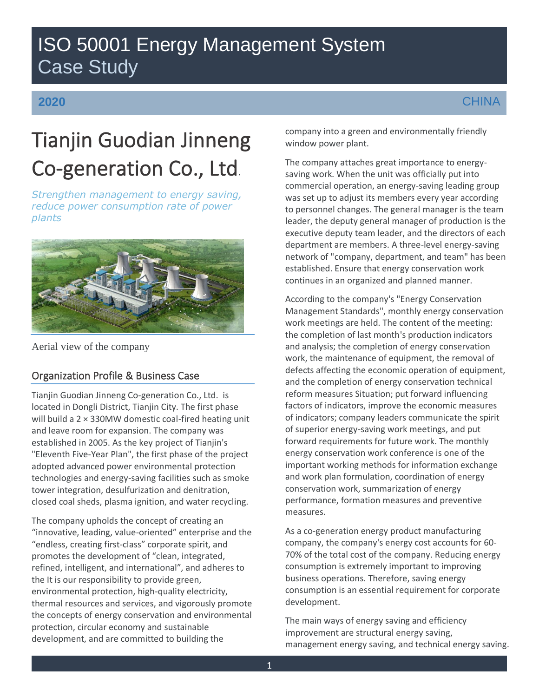## ISO 50001 Energy Management System Case Study

### **2020**

# Tianjin Guodian Jinneng Co-generation Co., Ltd.

*Strengthen management to energy saving, reduce power consumption rate of power plants*



Aerial view of the company

### Organization Profile & Business Case

Tianjin Guodian Jinneng Co-generation Co., Ltd. is located in Dongli District, Tianjin City. The first phase will build a 2 × 330MW domestic coal-fired heating unit and leave room for expansion. The company was established in 2005. As the key project of Tianjin's "Eleventh Five-Year Plan", the first phase of the project adopted advanced power environmental protection technologies and energy-saving facilities such as smoke tower integration, desulfurization and denitration, closed coal sheds, plasma ignition, and water recycling.

The company upholds the concept of creating an "innovative, leading, value-oriented" enterprise and the "endless, creating first-class" corporate spirit, and promotes the development of "clean, integrated, refined, intelligent, and international", and adheres to the It is our responsibility to provide green, environmental protection, high-quality electricity, thermal resources and services, and vigorously promote the concepts of energy conservation and environmental protection, circular economy and sustainable development, and are committed to building the

company into a green and environmentally friendly window power plant.

The company attaches great importance to energysaving work. When the unit was officially put into commercial operation, an energy-saving leading group was set up to adjust its members every year according to personnel changes. The general manager is the team leader, the deputy general manager of production is the executive deputy team leader, and the directors of each department are members. A three-level energy-saving network of "company, department, and team" has been established. Ensure that energy conservation work continues in an organized and planned manner.

According to the company's "Energy Conservation Management Standards", monthly energy conservation work meetings are held. The content of the meeting: the completion of last month's production indicators and analysis; the completion of energy conservation work, the maintenance of equipment, the removal of defects affecting the economic operation of equipment, and the completion of energy conservation technical reform measures Situation; put forward influencing factors of indicators, improve the economic measures of indicators; company leaders communicate the spirit of superior energy-saving work meetings, and put forward requirements for future work. The monthly energy conservation work conference is one of the important working methods for information exchange and work plan formulation, coordination of energy conservation work, summarization of energy performance, formation measures and preventive measures.

As a co-generation energy product manufacturing company, the company's energy cost accounts for 60- 70% of the total cost of the company. Reducing energy consumption is extremely important to improving business operations. Therefore, saving energy consumption is an essential requirement for corporate development.

The main ways of energy saving and efficiency improvement are structural energy saving, management energy saving, and technical energy saving.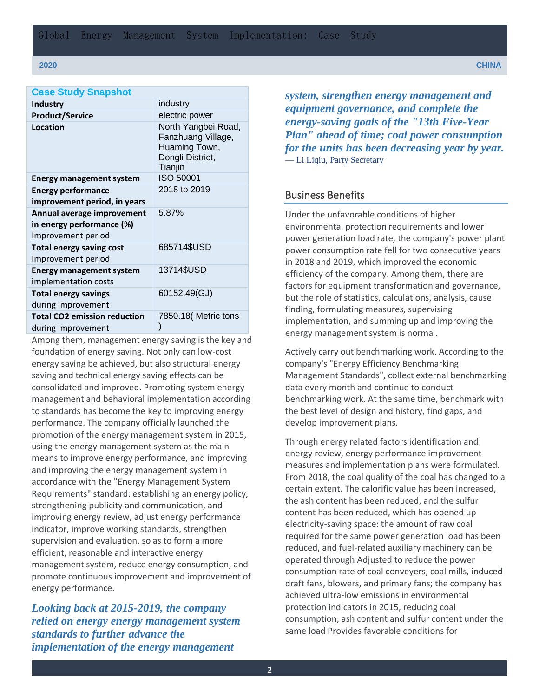**2020 CHINA**

| <b>Case Study Snapshot</b>          |                                                                                           |
|-------------------------------------|-------------------------------------------------------------------------------------------|
| <b>Industry</b>                     | industry                                                                                  |
| <b>Product/Service</b>              | electric power                                                                            |
| Location                            | North Yangbei Road,<br>Fanzhuang Village,<br>Huaming Town,<br>Dongli District,<br>Tianjin |
| <b>Energy management system</b>     | ISO 50001                                                                                 |
| <b>Energy performance</b>           | 2018 to 2019                                                                              |
| improvement period, in years        |                                                                                           |
| Annual average improvement          | 5.87%                                                                                     |
| in energy performance (%)           |                                                                                           |
| Improvement period                  |                                                                                           |
| <b>Total energy saving cost</b>     | 685714\$USD                                                                               |
| Improvement period                  |                                                                                           |
| <b>Energy management system</b>     | 13714\$USD                                                                                |
| implementation costs                |                                                                                           |
| <b>Total energy savings</b>         | 60152.49(GJ)                                                                              |
| during improvement                  |                                                                                           |
| <b>Total CO2 emission reduction</b> | 7850.18( Metric tons                                                                      |
| during improvement                  |                                                                                           |

Among them, management energy saving is the key and foundation of energy saving. Not only can low-cost energy saving be achieved, but also structural energy saving and technical energy saving effects can be consolidated and improved. Promoting system energy management and behavioral implementation according to standards has become the key to improving energy performance. The company officially launched the promotion of the energy management system in 2015, using the energy management system as the main means to improve energy performance, and improving and improving the energy management system in accordance with the "Energy Management System Requirements" standard: establishing an energy policy, strengthening publicity and communication, and improving energy review, adjust energy performance indicator, improve working standards, strengthen supervision and evaluation, so as to form a more efficient, reasonable and interactive energy management system, reduce energy consumption, and promote continuous improvement and improvement of energy performance.

*Looking back at 2015-2019, the company relied on energy energy management system standards to further advance the implementation of the energy management* 

*system, strengthen energy management and equipment governance, and complete the energy-saving goals of the "13th Five-Year Plan" ahead of time; coal power consumption for the units has been decreasing year by year.*  — Li Liqiu, Party Secretary

### Business Benefits

Under the unfavorable conditions of higher environmental protection requirements and lower power generation load rate, the company's power plant power consumption rate fell for two consecutive years in 2018 and 2019, which improved the economic efficiency of the company. Among them, there are factors for equipment transformation and governance, but the role of statistics, calculations, analysis, cause finding, formulating measures, supervising implementation, and summing up and improving the energy management system is normal.

Actively carry out benchmarking work. According to the company's "Energy Efficiency Benchmarking Management Standards", collect external benchmarking data every month and continue to conduct benchmarking work. At the same time, benchmark with the best level of design and history, find gaps, and develop improvement plans.

Through energy related factors identification and energy review, energy performance improvement measures and implementation plans were formulated. From 2018, the coal quality of the coal has changed to a certain extent. The calorific value has been increased, the ash content has been reduced, and the sulfur content has been reduced, which has opened up electricity-saving space: the amount of raw coal required for the same power generation load has been reduced, and fuel-related auxiliary machinery can be operated through Adjusted to reduce the power consumption rate of coal conveyers, coal mills, induced draft fans, blowers, and primary fans; the company has achieved ultra-low emissions in environmental protection indicators in 2015, reducing coal consumption, ash content and sulfur content under the same load Provides favorable conditions for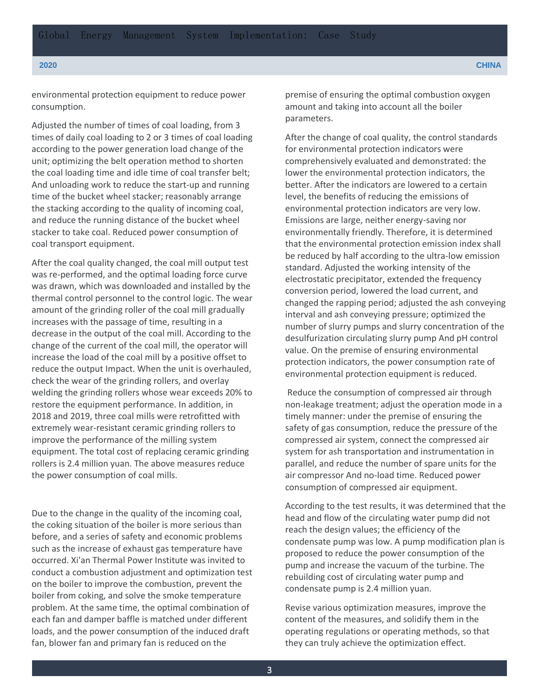environmental protection equipment to reduce power consumption.

Adjusted the number of times of coal loading, from 3 times of daily coal loading to 2 or 3 times of coal loading according to the power generation load change of the unit; optimizing the belt operation method to shorten the coal loading time and idle time of coal transfer belt; And unloading work to reduce the start-up and running time of the bucket wheel stacker; reasonably arrange the stacking according to the quality of incoming coal, and reduce the running distance of the bucket wheel stacker to take coal. Reduced power consumption of coal transport equipment.

After the coal quality changed, the coal mill output test was re-performed, and the optimal loading force curve was drawn, which was downloaded and installed by the thermal control personnel to the control logic. The wear amount of the grinding roller of the coal mill gradually increases with the passage of time, resulting in a decrease in the output of the coal mill. According to the change of the current of the coal mill, the operator will increase the load of the coal mill by a positive offset to reduce the output Impact. When the unit is overhauled, check the wear of the grinding rollers, and overlay welding the grinding rollers whose wear exceeds 20% to restore the equipment performance. In addition, in 2018 and 2019, three coal mills were retrofitted with extremely wear-resistant ceramic grinding rollers to improve the performance of the milling system equipment. The total cost of replacing ceramic grinding rollers is 2.4 million yuan. The above measures reduce the power consumption of coal mills.

Due to the change in the quality of the incoming coal, the coking situation of the boiler is more serious than before, and a series of safety and economic problems such as the increase of exhaust gas temperature have occurred. Xi'an Thermal Power Institute was invited to conduct a combustion adjustment and optimization test on the boiler to improve the combustion, prevent the boiler from coking, and solve the smoke temperature problem. At the same time, the optimal combination of each fan and damper baffle is matched under different loads, and the power consumption of the induced draft fan, blower fan and primary fan is reduced on the

premise of ensuring the optimal combustion oxygen amount and taking into account all the boiler parameters.

After the change of coal quality, the control standards for environmental protection indicators were comprehensively evaluated and demonstrated: the lower the environmental protection indicators, the better. After the indicators are lowered to a certain level, the benefits of reducing the emissions of environmental protection indicators are very low. Emissions are large, neither energy-saving nor environmentally friendly. Therefore, it is determined that the environmental protection emission index shall be reduced by half according to the ultra-low emission standard. Adjusted the working intensity of the electrostatic precipitator, extended the frequency conversion period, lowered the load current, and changed the rapping period; adjusted the ash conveying interval and ash conveying pressure; optimized the number of slurry pumps and slurry concentration of the desulfurization circulating slurry pump And pH control value. On the premise of ensuring environmental protection indicators, the power consumption rate of environmental protection equipment is reduced.

Reduce the consumption of compressed air through non-leakage treatment; adjust the operation mode in a timely manner: under the premise of ensuring the safety of gas consumption, reduce the pressure of the compressed air system, connect the compressed air system for ash transportation and instrumentation in parallel, and reduce the number of spare units for the air compressor And no-load time. Reduced power consumption of compressed air equipment.

According to the test results, it was determined that the head and flow of the circulating water pump did not reach the design values; the efficiency of the condensate pump was low. A pump modification plan is proposed to reduce the power consumption of the pump and increase the vacuum of the turbine. The rebuilding cost of circulating water pump and condensate pump is 2.4 million yuan.

Revise various optimization measures, improve the content of the measures, and solidify them in the operating regulations or operating methods, so that they can truly achieve the optimization effect.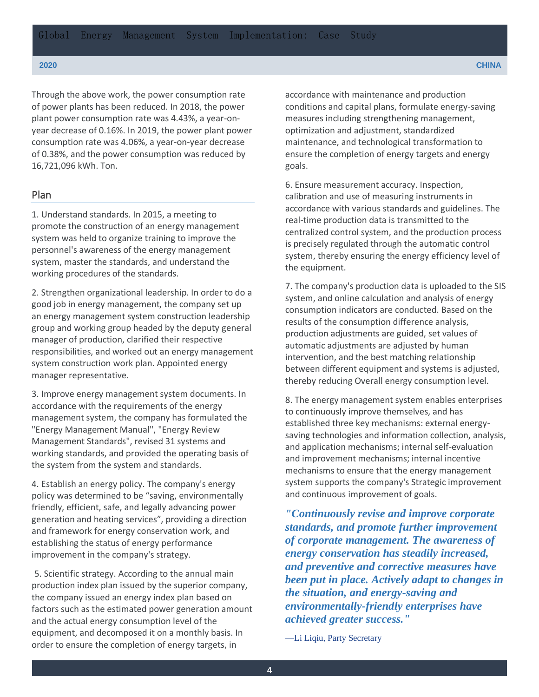Through the above work, the power consumption rate of power plants has been reduced. In 2018, the power plant power consumption rate was 4.43%, a year-onyear decrease of 0.16%. In 2019, the power plant power consumption rate was 4.06%, a year-on-year decrease of 0.38%, and the power consumption was reduced by 16,721,096 kWh. Ton.

#### Plan

1. Understand standards. In 2015, a meeting to promote the construction of an energy management system was held to organize training to improve the personnel's awareness of the energy management system, master the standards, and understand the working procedures of the standards.

2. Strengthen organizational leadership. In order to do a good job in energy management, the company set up an energy management system construction leadership group and working group headed by the deputy general manager of production, clarified their respective responsibilities, and worked out an energy management system construction work plan. Appointed energy manager representative.

3. Improve energy management system documents. In accordance with the requirements of the energy management system, the company has formulated the "Energy Management Manual", "Energy Review Management Standards", revised 31 systems and working standards, and provided the operating basis of the system from the system and standards.

4. Establish an energy policy. The company's energy policy was determined to be "saving, environmentally friendly, efficient, safe, and legally advancing power generation and heating services", providing a direction and framework for energy conservation work, and establishing the status of energy performance improvement in the company's strategy.

5. Scientific strategy. According to the annual main production index plan issued by the superior company, the company issued an energy index plan based on factors such as the estimated power generation amount and the actual energy consumption level of the equipment, and decomposed it on a monthly basis. In order to ensure the completion of energy targets, in

accordance with maintenance and production conditions and capital plans, formulate energy-saving measures including strengthening management, optimization and adjustment, standardized maintenance, and technological transformation to ensure the completion of energy targets and energy goals.

6. Ensure measurement accuracy. Inspection, calibration and use of measuring instruments in accordance with various standards and guidelines. The real-time production data is transmitted to the centralized control system, and the production process is precisely regulated through the automatic control system, thereby ensuring the energy efficiency level of the equipment.

7. The company's production data is uploaded to the SIS system, and online calculation and analysis of energy consumption indicators are conducted. Based on the results of the consumption difference analysis, production adjustments are guided, set values of automatic adjustments are adjusted by human intervention, and the best matching relationship between different equipment and systems is adjusted, thereby reducing Overall energy consumption level.

8. The energy management system enables enterprises to continuously improve themselves, and has established three key mechanisms: external energysaving technologies and information collection, analysis, and application mechanisms; internal self-evaluation and improvement mechanisms; internal incentive mechanisms to ensure that the energy management system supports the company's Strategic improvement and continuous improvement of goals.

*"Continuously revise and improve corporate standards, and promote further improvement of corporate management. The awareness of energy conservation has steadily increased, and preventive and corrective measures have been put in place. Actively adapt to changes in the situation, and energy-saving and environmentally-friendly enterprises have achieved greater success."* 

—Li Liqiu, Party Secretary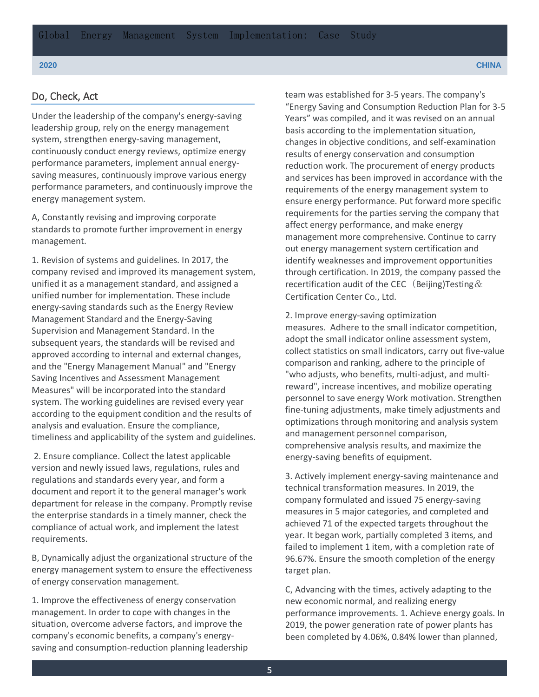#### Do, Check, Act

Under the leadership of the company's energy-saving leadership group, rely on the energy management system, strengthen energy-saving management, continuously conduct energy reviews, optimize energy performance parameters, implement annual energysaving measures, continuously improve various energy performance parameters, and continuously improve the energy management system.

A, Constantly revising and improving corporate standards to promote further improvement in energy management.

1. Revision of systems and guidelines. In 2017, the company revised and improved its management system, unified it as a management standard, and assigned a unified number for implementation. These include energy-saving standards such as the Energy Review Management Standard and the Energy-Saving Supervision and Management Standard. In the subsequent years, the standards will be revised and approved according to internal and external changes, and the "Energy Management Manual" and "Energy Saving Incentives and Assessment Management Measures" will be incorporated into the standard system. The working guidelines are revised every year according to the equipment condition and the results of analysis and evaluation. Ensure the compliance, timeliness and applicability of the system and guidelines.

2. Ensure compliance. Collect the latest applicable version and newly issued laws, regulations, rules and regulations and standards every year, and form a document and report it to the general manager's work department for release in the company. Promptly revise the enterprise standards in a timely manner, check the compliance of actual work, and implement the latest requirements.

B, Dynamically adjust the organizational structure of the energy management system to ensure the effectiveness of energy conservation management.

1. Improve the effectiveness of energy conservation management. In order to cope with changes in the situation, overcome adverse factors, and improve the company's economic benefits, a company's energysaving and consumption-reduction planning leadership team was established for 3-5 years. The company's "Energy Saving and Consumption Reduction Plan for 3-5 Years" was compiled, and it was revised on an annual basis according to the implementation situation, changes in objective conditions, and self-examination results of energy conservation and consumption reduction work. The procurement of energy products and services has been improved in accordance with the requirements of the energy management system to ensure energy performance. Put forward more specific requirements for the parties serving the company that affect energy performance, and make energy management more comprehensive. Continue to carry out energy management system certification and identify weaknesses and improvement opportunities through certification. In 2019, the company passed the recertification audit of the CEC (Beijing)Testing  $\&$ Certification Center Co., Ltd.

2. Improve energy-saving optimization measures. Adhere to the small indicator competition, adopt the small indicator online assessment system, collect statistics on small indicators, carry out five-value comparison and ranking, adhere to the principle of "who adjusts, who benefits, multi-adjust, and multireward", increase incentives, and mobilize operating personnel to save energy Work motivation. Strengthen fine-tuning adjustments, make timely adjustments and optimizations through monitoring and analysis system and management personnel comparison, comprehensive analysis results, and maximize the energy-saving benefits of equipment.

3. Actively implement energy-saving maintenance and technical transformation measures. In 2019, the company formulated and issued 75 energy-saving measures in 5 major categories, and completed and achieved 71 of the expected targets throughout the year. It began work, partially completed 3 items, and failed to implement 1 item, with a completion rate of 96.67%. Ensure the smooth completion of the energy target plan.

C, Advancing with the times, actively adapting to the new economic normal, and realizing energy performance improvements. 1. Achieve energy goals. In 2019, the power generation rate of power plants has been completed by 4.06%, 0.84% lower than planned,